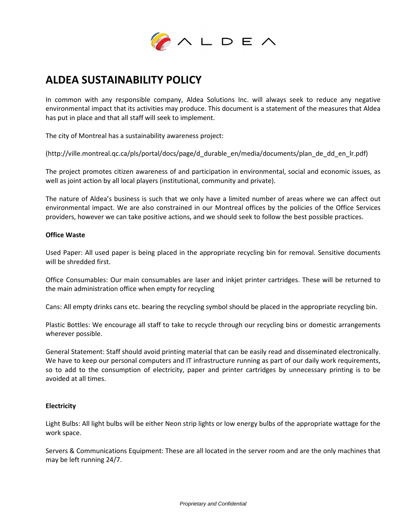

# **ALDEA SUSTAINABILITY POLICY**

In common with any responsible company, Aldea Solutions Inc. will always seek to reduce any negative environmental impact that its activities may produce. This document is a statement of the measures that Aldea has put in place and that all staff will seek to implement.

The city of Montreal has a sustainability awareness project:

(http://ville.montreal.qc.ca/pls/portal/docs/page/d\_durable\_en/media/documents/plan\_de\_dd\_en\_lr.pdf)

The project promotes citizen awareness of and participation in environmental, social and economic issues, as well as joint action by all local players (institutional, community and private).

The nature of Aldea's business is such that we only have a limited number of areas where we can affect out environmental impact. We are also constrained in our Montreal offices by the policies of the Office Services providers, however we can take positive actions, and we should seek to follow the best possible practices.

### **Office Waste**

Used Paper: All used paper is being placed in the appropriate recycling bin for removal. Sensitive documents will be shredded first.

Office Consumables: Our main consumables are laser and inkjet printer cartridges. These will be returned to the main administration office when empty for recycling

Cans: All empty drinks cans etc. bearing the recycling symbol should be placed in the appropriate recycling bin.

Plastic Bottles: We encourage all staff to take to recycle through our recycling bins or domestic arrangements wherever possible.

General Statement: Staff should avoid printing material that can be easily read and disseminated electronically. We have to keep our personal computers and IT infrastructure running as part of our daily work requirements, so to add to the consumption of electricity, paper and printer cartridges by unnecessary printing is to be avoided at all times.

# **Electricity**

Light Bulbs: All light bulbs will be either Neon strip lights or low energy bulbs of the appropriate wattage for the work space.

Servers & Communications Equipment: These are all located in the server room and are the only machines that may be left running 24/7.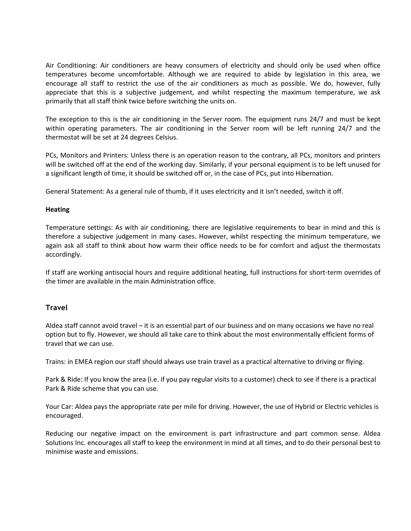Air Conditioning: Air conditioners are heavy consumers of electricity and should only be used when office temperatures become uncomfortable. Although we are required to abide by legislation in this area, we encourage all staff to restrict the use of the air conditioners as much as possible. We do, however, fully appreciate that this is a subjective judgement, and whilst respecting the maximum temperature, we ask primarily that all staff think twice before switching the units on.

The exception to this is the air conditioning in the Server room. The equipment runs 24/7 and must be kept within operating parameters. The air conditioning in the Server room will be left running 24/7 and the thermostat will be set at 24 degrees Celsius.

PCs, Monitors and Printers: Unless there is an operation reason to the contrary, all PCs, monitors and printers will be switched off at the end of the working day. Similarly, if your personal equipment is to be left unused for a significant length of time, it should be switched off or, in the case of PCs, put into Hibernation.

General Statement: As a general rule of thumb, if it uses electricity and it isn't needed, switch it off.

### **Heating**

Temperature settings: As with air conditioning, there are legislative requirements to bear in mind and this is therefore a subjective judgement in many cases. However, whilst respecting the minimum temperature, we again ask all staff to think about how warm their office needs to be for comfort and adjust the thermostats accordingly.

If staff are working antisocial hours and require additional heating, full instructions for short-term overrides of the timer are available in the main Administration office.

# **Travel**

Aldea staff cannot avoid travel – it is an essential part of our business and on many occasions we have no real option but to fly. However, we should all take care to think about the most environmentally efficient forms of travel that we can use.

Trains: in EMEA region our staff should always use train travel as a practical alternative to driving or flying.

Park & Ride: If you know the area (i.e. if you pay regular visits to a customer) check to see if there is a practical Park & Ride scheme that you can use.

Your Car: Aldea pays the appropriate rate per mile for driving. However, the use of Hybrid or Electric vehicles is encouraged.

Reducing our negative impact on the environment is part infrastructure and part common sense. Aldea Solutions Inc. encourages all staff to keep the environment in mind at all times, and to do their personal best to minimise waste and emissions.